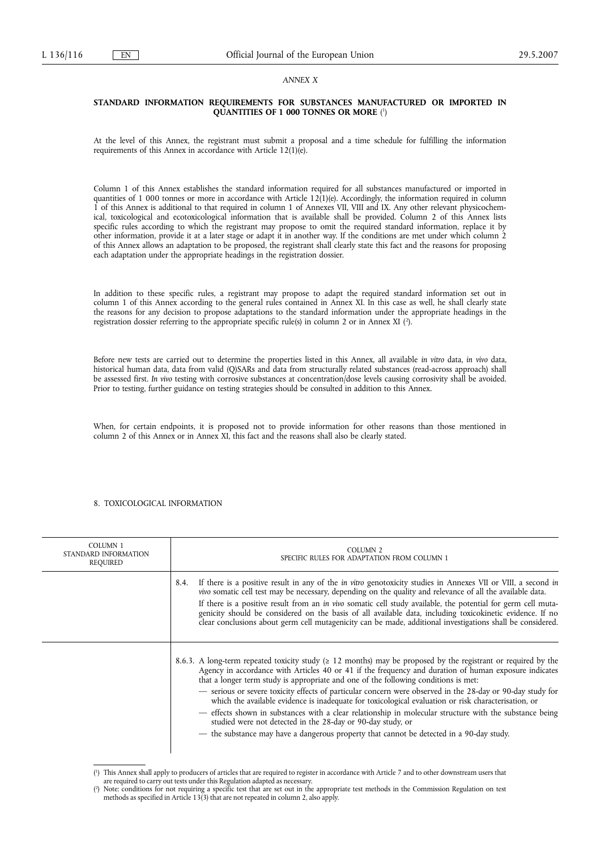### *ANNEX X*

### **STANDARD INFORMATION REQUIREMENTS FOR SUBSTANCES MANUFACTURED OR IMPORTED IN QUANTITIES OF 1 000 TONNES OR MORE** ( 1 )

At the level of this Annex, the registrant must submit a proposal and a time schedule for fulfilling the information requirements of this Annex in accordance with Article 12(1)(e).

Column 1 of this Annex establishes the standard information required for all substances manufactured or imported in quantities of 1 000 tonnes or more in accordance with Article 12(1)(e). Accordingly, the information required in column 1 of this Annex is additional to that required in column 1 of Annexes VII, VIII and IX. Any other relevant physicochemical, toxicological and ecotoxicological information that is available shall be provided. Column 2 of this Annex lists specific rules according to which the registrant may propose to omit the required standard information, replace it by other information, provide it at a later stage or adapt it in another way. If the conditions are met under which column 2 of this Annex allows an adaptation to be proposed, the registrant shall clearly state this fact and the reasons for proposing each adaptation under the appropriate headings in the registration dossier.

In addition to these specific rules, a registrant may propose to adapt the required standard information set out in column 1 of this Annex according to the general rules contained in Annex XI. In this case as well, he shall clearly state the reasons for any decision to propose adaptations to the standard information under the appropriate headings in the registration dossier referring to the appropriate specific rule(s) in column 2 or in Annex XI (?).

Before new tests are carried out to determine the properties listed in this Annex, all available *in vitro* data, *in vivo* data, historical human data, data from valid (Q)SARs and data from structurally related substances (read-across approach) shall be assessed first. *In vivo* testing with corrosive substances at concentration/dose levels causing corrosivity shall be avoided. Prior to testing, further guidance on testing strategies should be consulted in addition to this Annex.

When, for certain endpoints, it is proposed not to provide information for other reasons than those mentioned in column 2 of this Annex or in Annex XI, this fact and the reasons shall also be clearly stated.

#### 8. TOXICOLOGICAL INFORMATION

| <b>COLUMN 1</b><br>STANDARD INFORMATION<br>REQUIRED | COLUMN <sub>2</sub><br>SPECIFIC RULES FOR ADAPTATION FROM COLUMN 1                                                                                                                                                                                                                                                                                                                                                                                                                                                                                                                                                                                                                                                                                                                                              |  |  |
|-----------------------------------------------------|-----------------------------------------------------------------------------------------------------------------------------------------------------------------------------------------------------------------------------------------------------------------------------------------------------------------------------------------------------------------------------------------------------------------------------------------------------------------------------------------------------------------------------------------------------------------------------------------------------------------------------------------------------------------------------------------------------------------------------------------------------------------------------------------------------------------|--|--|
|                                                     | If there is a positive result in any of the <i>in vitro</i> genotoxicity studies in Annexes VII or VIII, a second <i>in</i><br>8.4.<br>vivo somatic cell test may be necessary, depending on the quality and relevance of all the available data.<br>If there is a positive result from an in vivo somatic cell study available, the potential for germ cell muta-<br>genicity should be considered on the basis of all available data, including toxicokinetic evidence. If no<br>clear conclusions about germ cell mutagenicity can be made, additional investigations shall be considered.                                                                                                                                                                                                                   |  |  |
|                                                     | 8.6.3. A long-term repeated toxicity study ( $\geq 12$ months) may be proposed by the registrant or required by the<br>Agency in accordance with Articles 40 or 41 if the frequency and duration of human exposure indicates<br>that a longer term study is appropriate and one of the following conditions is met:<br>- serious or severe toxicity effects of particular concern were observed in the 28-day or 90-day study for<br>which the available evidence is inadequate for toxicological evaluation or risk characterisation, or<br>- effects shown in substances with a clear relationship in molecular structure with the substance being<br>studied were not detected in the 28-day or 90-day study, or<br>- the substance may have a dangerous property that cannot be detected in a 90-day study. |  |  |

<sup>(</sup> 1 ) This Annex shall apply to producers of articles that are required to register in accordance with Article 7 and to other downstream users that

are required to carry out tests under this Regulation adapted as necessary.

<sup>(</sup> 2 ) Note: conditions for not requiring a specific test that are set out in the appropriate test methods in the Commission Regulation on test methods as specified in Article 13(3) that are not repeated in column 2, also apply.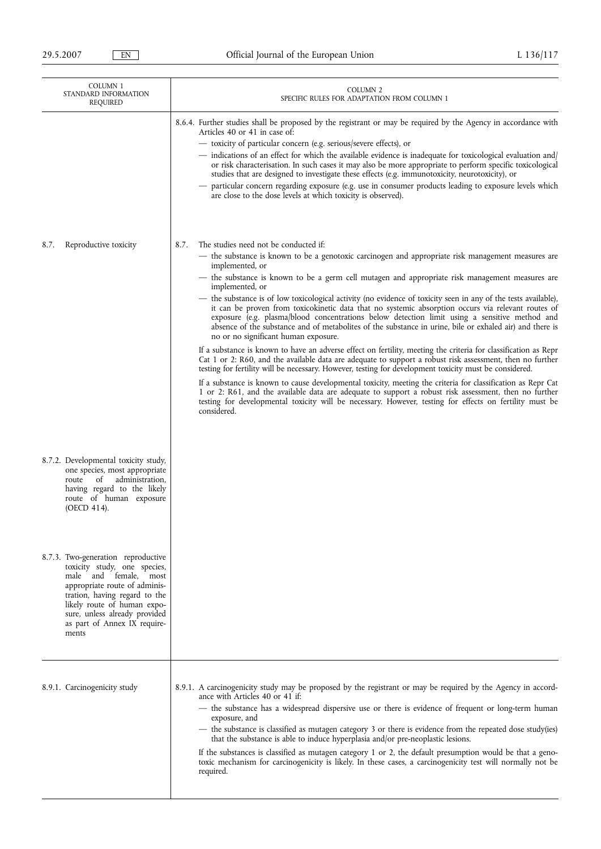| COLUMN <sub>1</sub><br>STANDARD INFORMATION<br>REQUIRED |                                                                                                                                                                                                                                                               | COLUMN <sub>2</sub><br>SPECIFIC RULES FOR ADAPTATION FROM COLUMN 1                                                                                                                                                                                                                                                                                                                                                                                                                                                                                                                                                                                                                                                                                                                                                                                                                                                                                                                                                                                                                                                                                                                                                                                                                                                                                                                                                                                                     |
|---------------------------------------------------------|---------------------------------------------------------------------------------------------------------------------------------------------------------------------------------------------------------------------------------------------------------------|------------------------------------------------------------------------------------------------------------------------------------------------------------------------------------------------------------------------------------------------------------------------------------------------------------------------------------------------------------------------------------------------------------------------------------------------------------------------------------------------------------------------------------------------------------------------------------------------------------------------------------------------------------------------------------------------------------------------------------------------------------------------------------------------------------------------------------------------------------------------------------------------------------------------------------------------------------------------------------------------------------------------------------------------------------------------------------------------------------------------------------------------------------------------------------------------------------------------------------------------------------------------------------------------------------------------------------------------------------------------------------------------------------------------------------------------------------------------|
|                                                         |                                                                                                                                                                                                                                                               | 8.6.4. Further studies shall be proposed by the registrant or may be required by the Agency in accordance with<br>Articles 40 or 41 in case of:<br>- toxicity of particular concern (e.g. serious/severe effects), or<br>- indications of an effect for which the available evidence is inadequate for toxicological evaluation and/<br>or risk characterisation. In such cases it may also be more appropriate to perform specific toxicological<br>studies that are designed to investigate these effects (e.g. immunotoxicity, neurotoxicity), or<br>particular concern regarding exposure (e.g. use in consumer products leading to exposure levels which<br>are close to the dose levels at which toxicity is observed).                                                                                                                                                                                                                                                                                                                                                                                                                                                                                                                                                                                                                                                                                                                                          |
| 8.7.                                                    | Reproductive toxicity                                                                                                                                                                                                                                         | 8.7.<br>The studies need not be conducted if:<br>- the substance is known to be a genotoxic carcinogen and appropriate risk management measures are<br>implemented, or<br>- the substance is known to be a germ cell mutagen and appropriate risk management measures are<br>implemented, or<br>- the substance is of low toxicological activity (no evidence of toxicity seen in any of the tests available),<br>it can be proven from toxicokinetic data that no systemic absorption occurs via relevant routes of<br>exposure (e.g. plasma/blood concentrations below detection limit using a sensitive method and<br>absence of the substance and of metabolites of the substance in urine, bile or exhaled air) and there is<br>no or no significant human exposure.<br>If a substance is known to have an adverse effect on fertility, meeting the criteria for classification as Repr<br>Cat 1 or 2: R60, and the available data are adequate to support a robust risk assessment, then no further<br>testing for fertility will be necessary. However, testing for development toxicity must be considered.<br>If a substance is known to cause developmental toxicity, meeting the criteria for classification as Repr Cat<br>1 or 2: R61, and the available data are adequate to support a robust risk assessment, then no further<br>testing for developmental toxicity will be necessary. However, testing for effects on fertility must be<br>considered. |
| route<br>(OECD 414).                                    | 8.7.2. Developmental toxicity study,<br>one species, most appropriate<br>administration,<br>of<br>having regard to the likely<br>route of human exposure                                                                                                      |                                                                                                                                                                                                                                                                                                                                                                                                                                                                                                                                                                                                                                                                                                                                                                                                                                                                                                                                                                                                                                                                                                                                                                                                                                                                                                                                                                                                                                                                        |
| ments                                                   | 8.7.3. Two-generation reproductive<br>toxicity study, one species,<br>male and female, most<br>appropriate route of adminis-<br>tration, having regard to the<br>likely route of human expo-<br>sure, unless already provided<br>as part of Annex IX require- |                                                                                                                                                                                                                                                                                                                                                                                                                                                                                                                                                                                                                                                                                                                                                                                                                                                                                                                                                                                                                                                                                                                                                                                                                                                                                                                                                                                                                                                                        |
|                                                         | 8.9.1. Carcinogenicity study                                                                                                                                                                                                                                  | 8.9.1. A carcinogenicity study may be proposed by the registrant or may be required by the Agency in accord-<br>ance with Articles 40 or 41 if:<br>- the substance has a widespread dispersive use or there is evidence of frequent or long-term human<br>exposure, and<br>- the substance is classified as mutagen category 3 or there is evidence from the repeated dose study(ies)<br>that the substance is able to induce hyperplasia and/or pre-neoplastic lesions.<br>If the substances is classified as mutagen category 1 or 2, the default presumption would be that a geno-<br>toxic mechanism for carcinogenicity is likely. In these cases, a carcinogenicity test will normally not be<br>required.                                                                                                                                                                                                                                                                                                                                                                                                                                                                                                                                                                                                                                                                                                                                                       |